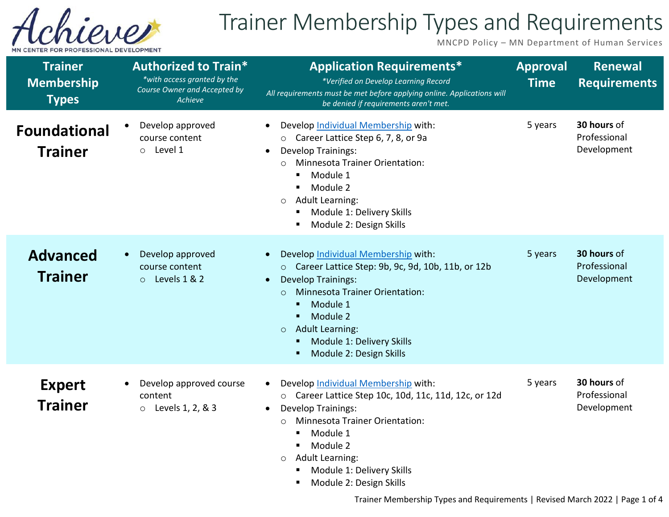

## Trainer Membership Types and Requirements

MNCPD Policy – MN Department of Human Services

| <b>Trainer</b><br><b>Membership</b><br><b>Types</b> | <b>Authorized to Train*</b><br>*with access granted by the<br>Course Owner and Accepted by<br><b>Achieve</b> | <b>Application Requirements*</b><br>*Verified on Develop Learning Record<br>All requirements must be met before applying online. Applications will<br>be denied if requirements aren't met.                                                                                                                                                | <b>Approval</b><br><b>Time</b> | <b>Renewal</b><br><b>Requirements</b>      |
|-----------------------------------------------------|--------------------------------------------------------------------------------------------------------------|--------------------------------------------------------------------------------------------------------------------------------------------------------------------------------------------------------------------------------------------------------------------------------------------------------------------------------------------|--------------------------------|--------------------------------------------|
| <b>Foundational</b><br><b>Trainer</b>               | Develop approved<br>course content<br>Level 1<br>$\circ$                                                     | Develop Individual Membership with:<br>$\bullet$<br>O Career Lattice Step 6, 7, 8, or 9a<br><b>Develop Trainings:</b><br><b>Minnesota Trainer Orientation:</b><br>$\Omega$<br>Module 1<br>Module 2<br><b>Adult Learning:</b><br>$\circ$<br>Module 1: Delivery Skills<br>Module 2: Design Skills                                            | 5 years                        | 30 hours of<br>Professional<br>Development |
| <b>Advanced</b><br><b>Trainer</b>                   | Develop approved<br>course content<br>Levels 1 & 2<br>$\circ$                                                | Develop Individual Membership with:<br>Career Lattice Step: 9b, 9c, 9d, 10b, 11b, or 12b<br>$\circ$<br><b>Develop Trainings:</b><br><b>Minnesota Trainer Orientation:</b><br>$\circ$<br>Module 1<br>п<br>Module 2<br><b>Adult Learning:</b><br>$\circ$<br>Module 1: Delivery Skills<br>Module 2: Design Skills                             | 5 years                        | 30 hours of<br>Professional<br>Development |
| <b>Expert</b><br><b>Trainer</b>                     | Develop approved course<br>content<br>Levels 1, 2, & 3<br>$\circ$                                            | Develop Individual Membership with:<br>$\bullet$<br>Career Lattice Step 10c, 10d, 11c, 11d, 12c, or 12d<br>$\circ$<br><b>Develop Trainings:</b><br>$\bullet$<br><b>Minnesota Trainer Orientation:</b><br>$\circ$<br>Module 1<br>٠<br>Module 2<br><b>Adult Learning:</b><br>$\circ$<br>Module 1: Delivery Skills<br>Module 2: Design Skills | 5 years                        | 30 hours of<br>Professional<br>Development |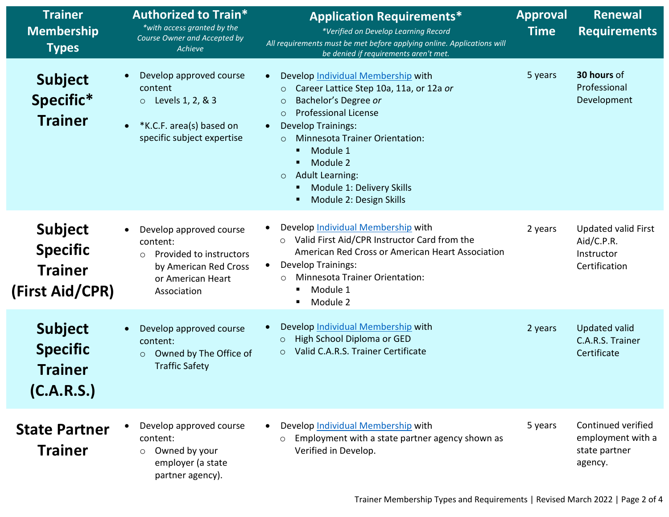| <b>Trainer</b><br><b>Membership</b><br><b>Types</b>                    | <b>Authorized to Train*</b><br>*with access granted by the<br>Course Owner and Accepted by<br>Achieve                                  | <b>Application Requirements*</b><br>*Verified on Develop Learning Record<br>All requirements must be met before applying online. Applications will<br>be denied if requirements aren't met.                                                                                                                                                                                                           | <b>Approval</b><br><b>Time</b> | Renewal<br><b>Requirements</b>                                          |
|------------------------------------------------------------------------|----------------------------------------------------------------------------------------------------------------------------------------|-------------------------------------------------------------------------------------------------------------------------------------------------------------------------------------------------------------------------------------------------------------------------------------------------------------------------------------------------------------------------------------------------------|--------------------------------|-------------------------------------------------------------------------|
| <b>Subject</b><br>Specific*<br><b>Trainer</b>                          | Develop approved course<br>content<br>$\circ$ Levels 1, 2, & 3<br>*K.C.F. area(s) based on<br>specific subject expertise               | Develop Individual Membership with<br>$\bullet$<br>Career Lattice Step 10a, 11a, or 12a or<br>$\circ$<br>Bachelor's Degree or<br>$\circ$<br><b>Professional License</b><br>$\circ$<br><b>Develop Trainings:</b><br>$\bullet$<br><b>Minnesota Trainer Orientation:</b><br>$\circ$<br>Module 1<br>Module 2<br><b>Adult Learning:</b><br>$\circ$<br>Module 1: Delivery Skills<br>Module 2: Design Skills | 5 years                        | 30 hours of<br>Professional<br>Development                              |
| <b>Subject</b><br><b>Specific</b><br><b>Trainer</b><br>(First Aid/CPR) | Develop approved course<br>content:<br>Provided to instructors<br>$\circ$<br>by American Red Cross<br>or American Heart<br>Association | Develop Individual Membership with<br>Valid First Aid/CPR Instructor Card from the<br>$\circ$<br>American Red Cross or American Heart Association<br><b>Develop Trainings:</b><br>$\bullet$<br><b>Minnesota Trainer Orientation:</b><br>$\circ$<br>Module 1<br>Module 2                                                                                                                               | 2 years                        | <b>Updated valid First</b><br>Aid/C.P.R.<br>Instructor<br>Certification |
| <b>Subject</b><br><b>Specific</b><br><b>Trainer</b><br>(C.A.R.S.)      | Develop approved course<br>content:<br>Owned by The Office of<br>$\circ$<br><b>Traffic Safety</b>                                      | Develop Individual Membership with<br>High School Diploma or GED<br>$\circ$<br>Valid C.A.R.S. Trainer Certificate<br>$\circ$                                                                                                                                                                                                                                                                          | 2 years                        | Updated valid<br>C.A.R.S. Trainer<br>Certificate                        |
| <b>State Partner</b><br><b>Trainer</b>                                 | Develop approved course<br>content:<br>Owned by your<br>$\circ$<br>employer (a state<br>partner agency).                               | Develop Individual Membership with<br>$\bullet$<br>Employment with a state partner agency shown as<br>$\circ$<br>Verified in Develop.                                                                                                                                                                                                                                                                 | 5 years                        | Continued verified<br>employment with a<br>state partner<br>agency.     |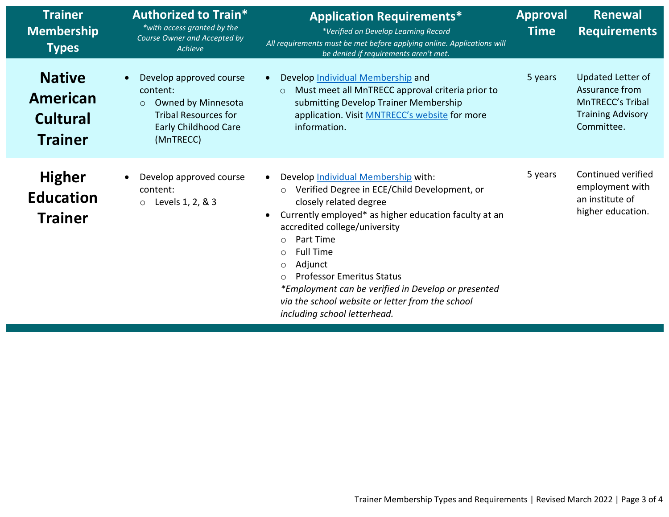| <b>Trainer</b><br><b>Membership</b><br><b>Types</b>            | <b>Authorized to Train*</b><br>*with access granted by the<br>Course Owner and Accepted by<br>Achieve                                           | <b>Application Requirements*</b><br>*Verified on Develop Learning Record<br>All requirements must be met before applying online. Applications will<br>be denied if requirements aren't met.                                                                                                                                                                                                                                                                                                               | <b>Approval</b><br><b>Time</b> | <b>Renewal</b><br><b>Requirements</b>                                                                    |
|----------------------------------------------------------------|-------------------------------------------------------------------------------------------------------------------------------------------------|-----------------------------------------------------------------------------------------------------------------------------------------------------------------------------------------------------------------------------------------------------------------------------------------------------------------------------------------------------------------------------------------------------------------------------------------------------------------------------------------------------------|--------------------------------|----------------------------------------------------------------------------------------------------------|
| <b>Native</b><br>American<br><b>Cultural</b><br><b>Trainer</b> | Develop approved course<br>content:<br>Owned by Minnesota<br>$\circ$<br><b>Tribal Resources for</b><br><b>Early Childhood Care</b><br>(MnTRECC) | Develop Individual Membership and<br>Must meet all MnTRECC approval criteria prior to<br>$\circ$<br>submitting Develop Trainer Membership<br>application. Visit MNTRECC's website for more<br>information.                                                                                                                                                                                                                                                                                                | 5 years                        | Updated Letter of<br>Assurance from<br><b>MnTRECC's Tribal</b><br><b>Training Advisory</b><br>Committee. |
| <b>Higher</b><br><b>Education</b><br><b>Trainer</b>            | Develop approved course<br>content:<br>Levels 1, 2, & 3<br>$\circ$                                                                              | Develop Individual Membership with:<br>Verified Degree in ECE/Child Development, or<br>$\circ$<br>closely related degree<br>Currently employed* as higher education faculty at an<br>$\bullet$<br>accredited college/university<br>Part Time<br>$\circ$<br><b>Full Time</b><br>$\circ$<br>Adjunct<br>$\circ$<br><b>Professor Emeritus Status</b><br>$\bigcirc$<br>*Employment can be verified in Develop or presented<br>via the school website or letter from the school<br>including school letterhead. | 5 years                        | Continued verified<br>employment with<br>an institute of<br>higher education.                            |